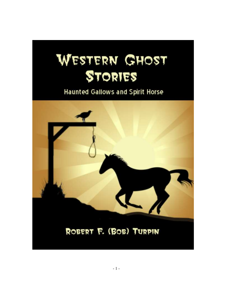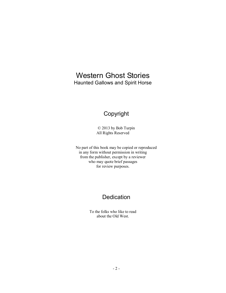## Western Ghost Stories Haunted Gallows and Spirit Horse

## Copyright

© 2013 by Bob Turpin All Rights Reserved

No part of this book may be copied or reproduced in any form without permission in writing from the publisher, except by a reviewer who may quote brief passages for review purposes.

## **Dedication**

To the folks who like to read about the Old West.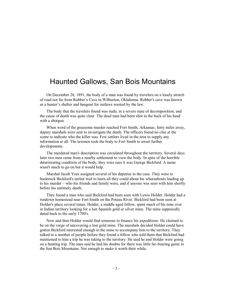## Haunted Gallows, San Bois Mountains

On December 28, 1891, the body of a man was found by travelers on a lonely stretch of road not far from Robber's Cave in Wilburton, Oklahoma. Robber's cave was known as a hunter's shelter and hangout for outlaws wanted by the law.

The body that the travelers found was nude, in a severe state of decomposition, and the cause of death was quite clear. The dead man had been shot in the back of his head with a shotgun.

When word of the gruesome murder reached Fort Smith, Arkansas, forty miles away, deputy marshals were sent to investigate the death. The officers found no clue at the scene to indicate who the killer was. Few settlers lived in the area to supply any information at all. The lawmen took the body to Fort Smith to await further developments.

The murdered man's description was circulated throughout the territory. Several days later two men came from a nearby settlement to view the body. In spite of the horrible deteriorating condition of the body, they were sure it was George Bickford. A name wasn't much to go on but it would help.

Marshal Jacob Yoes assigned several of his deputies to the case. They were to backtrack Bickford's earlier trail to learn all they could about his whereabouts leading up to his murder – who his friends and family were, and if anyone was seen with him shortly before his untimely death.

They found a man who said Bickford had been seen with Lewis Holder. Holder had a rundown homestead near Fort Smith on the Poteau River. Bickford had been seen at Holder's place several times. Holder, a middle aged fellow, spent much of his time over in Indian territory looking for a lost Spanish gold or silver mine. The mine supposedly dated back to the early 1700's.

Now and then Holder would find someone to finance his expeditions. He claimed to be on the verge of uncovering a lost gold mine. The marshals decided Holder could have gotten Bickford interested enough in the mine to accompany him to the territory. They talked to a number of people before they found a fellow who told them that Bickford had mentioned to him a trip he was taking to the territory. He said he and Holder were going on a hunting trip. The man said he had his doubts for there was little fur-bearing game in the San Bois Mountains. Not enough to make it worth their while.